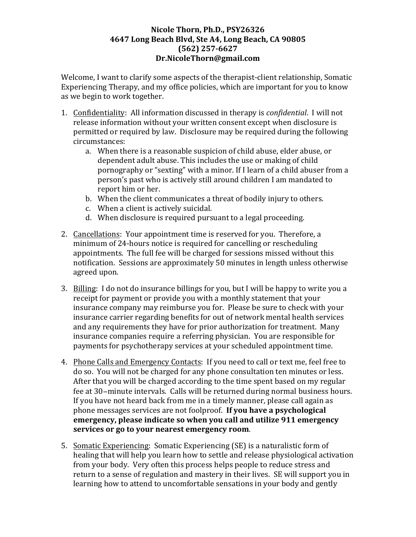## Nicole Thorn, Ph.D., PSY26326 **4647 Long Beach Blvd, Ste A4, Long Beach, CA 90805 (562) 257-6627 Dr.NicoleThorn@gmail.com**

Welcome, I want to clarify some aspects of the therapist-client relationship, Somatic Experiencing Therapy, and my office policies, which are important for you to know as we begin to work together.

- 1. Confidentiality: All information discussed in therapy is *confidential*. I will not release information without your written consent except when disclosure is permitted or required by law. Disclosure may be required during the following circumstances:
	- a. When there is a reasonable suspicion of child abuse, elder abuse, or dependent adult abuse. This includes the use or making of child pornography or "sexting" with a minor. If I learn of a child abuser from a person's past who is actively still around children I am mandated to report him or her.
	- b. When the client communicates a threat of bodily injury to others.
	- c. When a client is actively suicidal.
	- d. When disclosure is required pursuant to a legal proceeding.
- 2. Cancellations: Your appointment time is reserved for you. Therefore, a minimum of 24-hours notice is required for cancelling or rescheduling appointments. The full fee will be charged for sessions missed without this notification. Sessions are approximately 50 minutes in length unless otherwise agreed upon.
- 3. Billing: I do not do insurance billings for you, but I will be happy to write you a receipt for payment or provide you with a monthly statement that your insurance company may reimburse you for. Please be sure to check with your insurance carrier regarding benefits for out of network mental health services and any requirements they have for prior authorization for treatment. Many insurance companies require a referring physician. You are responsible for payments for psychotherapy services at your scheduled appointment time.
- 4. Phone Calls and Emergency Contacts: If you need to call or text me, feel free to do so. You will not be charged for any phone consultation ten minutes or less. After that you will be charged according to the time spent based on my regular fee at 30−minute intervals. Calls will be returned during normal business hours. If you have not heard back from me in a timely manner, please call again as phone messages services are not foolproof. If you have a psychological **emergency, please indicate so when you call and utilize 911 emergency** services or go to your nearest emergency room.
- 5. Somatic Experiencing: Somatic Experiencing (SE) is a naturalistic form of healing that will help you learn how to settle and release physiological activation from your body. Very often this process helps people to reduce stress and return to a sense of regulation and mastery in their lives. SE will support you in learning how to attend to uncomfortable sensations in your body and gently